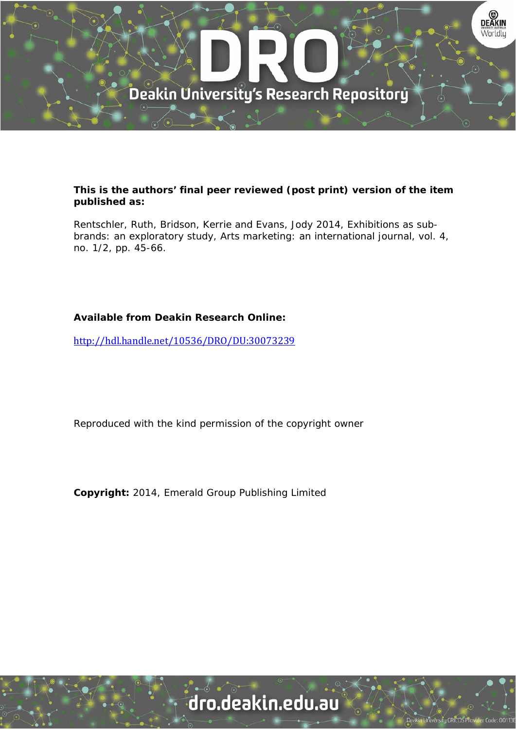

#### **This is the authors' final peer reviewed (post print) version of the item published as:**

Rentschler, Ruth, Bridson, Kerrie and Evans, Jody 2014, Exhibitions as subbrands: an exploratory study, Arts marketing: an international journal, vol. 4, no. 1/2, pp. 45-66.

#### **Available from Deakin Research Online:**

http://hdl.handle.net/10536/DRO/DU:30073239

Reproduced with the kind permission of the copyright owner

**Copyright:** 2014, Emerald Group Publishing Limited

# dro.deakin.edu.au

ersity CRICOS Pro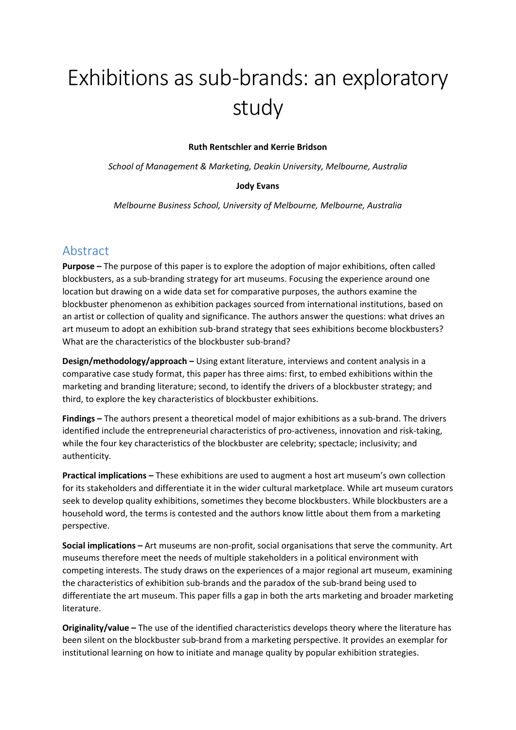# Exhibitions as sub-brands: an exploratory study

#### **Ruth Rentschler and Kerrie Bridson**

*School of Management & Marketing, Deakin University, Melbourne, Australia*

#### **Jody Evans**

*Melbourne Business School, University of Melbourne, Melbourne, Australia*

# Abstract

**Purpose –** The purpose of this paper is to explore the adoption of major exhibitions, often called blockbusters, as a sub‐branding strategy for art museums. Focusing the experience around one location but drawing on a wide data set for comparative purposes, the authors examine the blockbuster phenomenon as exhibition packages sourced from international institutions, based on an artist or collection of quality and significance. The authors answer the questions: what drives an art museum to adopt an exhibition sub-brand strategy that sees exhibitions become blockbusters? What are the characteristics of the blockbuster sub-brand?

**Design/methodology/approach –** Using extant literature, interviews and content analysis in a comparative case study format, this paper has three aims: first, to embed exhibitions within the marketing and branding literature; second, to identify the drivers of a blockbuster strategy; and third, to explore the key characteristics of blockbuster exhibitions.

**Findings –** The authors present a theoretical model of major exhibitions as a sub‐brand. The drivers identified include the entrepreneurial characteristics of pro-activeness, innovation and risk-taking, while the four key characteristics of the blockbuster are celebrity; spectacle; inclusivity; and authenticity.

**Practical implications –** These exhibitions are used to augment a host art museum's own collection for its stakeholders and differentiate it in the wider cultural marketplace. While art museum curators seek to develop quality exhibitions, sometimes they become blockbusters. While blockbusters are a household word, the terms is contested and the authors know little about them from a marketing perspective.

**Social implications –** Art museums are non‐profit, social organisations that serve the community. Art museums therefore meet the needs of multiple stakeholders in a political environment with competing interests. The study draws on the experiences of a major regional art museum, examining the characteristics of exhibition sub‐brands and the paradox of the sub‐brand being used to differentiate the art museum. This paper fills a gap in both the arts marketing and broader marketing literature.

**Originality/value –** The use of the identified characteristics develops theory where the literature has been silent on the blockbuster sub‐brand from a marketing perspective. It provides an exemplar for institutional learning on how to initiate and manage quality by popular exhibition strategies.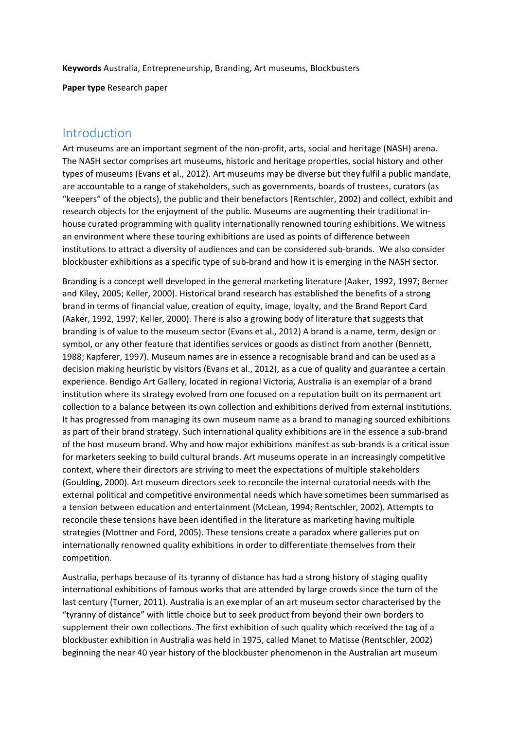**Keywords** Australia, Entrepreneurship, Branding, Art museums, Blockbusters

**Paper type** Research paper

#### Introduction

Art museums are an important segment of the non-profit, arts, social and heritage (NASH) arena. The NASH sector comprises art museums, historic and heritage properties, social history and other types of museums (Evans et al., 2012). Art museums may be diverse but they fulfil a public mandate, are accountable to a range of stakeholders, such as governments, boards of trustees, curators (as "keepers" of the objects), the public and their benefactors (Rentschler, 2002) and collect, exhibit and research objects for the enjoyment of the public. Museums are augmenting their traditional in‐ house curated programming with quality internationally renowned touring exhibitions. We witness an environment where these touring exhibitions are used as points of difference between institutions to attract a diversity of audiences and can be considered sub‐brands. We also consider blockbuster exhibitions as a specific type of sub‐brand and how it is emerging in the NASH sector.

Branding is a concept well developed in the general marketing literature (Aaker, 1992, 1997; Berner and Kiley, 2005; Keller, 2000). Historical brand research has established the benefits of a strong brand in terms of financial value, creation of equity, image, loyalty, and the Brand Report Card (Aaker, 1992, 1997; Keller, 2000). There is also a growing body of literature that suggests that branding is of value to the museum sector (Evans et al., 2012) A brand is a name, term, design or symbol, or any other feature that identifies services or goods as distinct from another (Bennett, 1988; Kapferer, 1997). Museum names are in essence a recognisable brand and can be used as a decision making heuristic by visitors (Evans et al., 2012), as a cue of quality and guarantee a certain experience. Bendigo Art Gallery, located in regional Victoria, Australia is an exemplar of a brand institution where its strategy evolved from one focused on a reputation built on its permanent art collection to a balance between its own collection and exhibitions derived from external institutions. It has progressed from managing its own museum name as a brand to managing sourced exhibitions as part of their brand strategy. Such international quality exhibitions are in the essence a sub-brand of the host museum brand. Why and how major exhibitions manifest as sub‐brands is a critical issue for marketers seeking to build cultural brands. Art museums operate in an increasingly competitive context, where their directors are striving to meet the expectations of multiple stakeholders (Goulding, 2000). Art museum directors seek to reconcile the internal curatorial needs with the external political and competitive environmental needs which have sometimes been summarised as a tension between education and entertainment (McLean, 1994; Rentschler, 2002). Attempts to reconcile these tensions have been identified in the literature as marketing having multiple strategies (Mottner and Ford, 2005). These tensions create a paradox where galleries put on internationally renowned quality exhibitions in order to differentiate themselves from their competition.

Australia, perhaps because of its tyranny of distance has had a strong history of staging quality international exhibitions of famous works that are attended by large crowds since the turn of the last century (Turner, 2011). Australia is an exemplar of an art museum sector characterised by the "tyranny of distance" with little choice but to seek product from beyond their own borders to supplement their own collections. The first exhibition of such quality which received the tag of a blockbuster exhibition in Australia was held in 1975, called Manet to Matisse (Rentschler, 2002) beginning the near 40 year history of the blockbuster phenomenon in the Australian art museum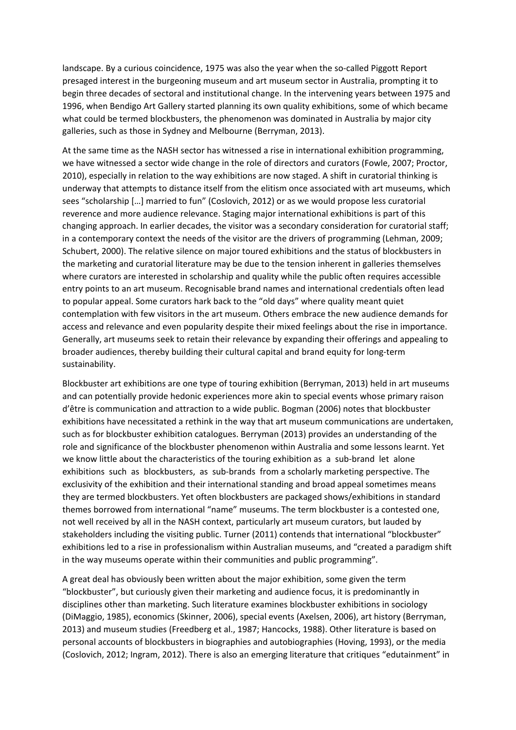landscape. By a curious coincidence, 1975 was also the year when the so-called Piggott Report presaged interest in the burgeoning museum and art museum sector in Australia, prompting it to begin three decades of sectoral and institutional change. In the intervening years between 1975 and 1996, when Bendigo Art Gallery started planning its own quality exhibitions, some of which became what could be termed blockbusters, the phenomenon was dominated in Australia by major city galleries, such as those in Sydney and Melbourne (Berryman, 2013).

At the same time as the NASH sector has witnessed a rise in international exhibition programming, we have witnessed a sector wide change in the role of directors and curators (Fowle, 2007; Proctor, 2010), especially in relation to the way exhibitions are now staged. A shift in curatorial thinking is underway that attempts to distance itself from the elitism once associated with art museums, which sees "scholarship […] married to fun" (Coslovich, 2012) or as we would propose less curatorial reverence and more audience relevance. Staging major international exhibitions is part of this changing approach. In earlier decades, the visitor was a secondary consideration for curatorial staff; in a contemporary context the needs of the visitor are the drivers of programming (Lehman, 2009; Schubert, 2000). The relative silence on major toured exhibitions and the status of blockbusters in the marketing and curatorial literature may be due to the tension inherent in galleries themselves where curators are interested in scholarship and quality while the public often requires accessible entry points to an art museum. Recognisable brand names and international credentials often lead to popular appeal. Some curators hark back to the "old days" where quality meant quiet contemplation with few visitors in the art museum. Others embrace the new audience demands for access and relevance and even popularity despite their mixed feelings about the rise in importance. Generally, art museums seek to retain their relevance by expanding their offerings and appealing to broader audiences, thereby building their cultural capital and brand equity for long‐term sustainability.

Blockbuster art exhibitions are one type of touring exhibition (Berryman, 2013) held in art museums and can potentially provide hedonic experiences more akin to special events whose primary raison d'être is communication and attraction to a wide public. Bogman (2006) notes that blockbuster exhibitions have necessitated a rethink in the way that art museum communications are undertaken, such as for blockbuster exhibition catalogues. Berryman (2013) provides an understanding of the role and significance of the blockbuster phenomenon within Australia and some lessons learnt. Yet we know little about the characteristics of the touring exhibition as a sub-brand let alone exhibitions such as blockbusters, as sub‐brands from a scholarly marketing perspective. The exclusivity of the exhibition and their international standing and broad appeal sometimes means they are termed blockbusters. Yet often blockbusters are packaged shows/exhibitions in standard themes borrowed from international "name" museums. The term blockbuster is a contested one, not well received by all in the NASH context, particularly art museum curators, but lauded by stakeholders including the visiting public. Turner (2011) contends that international "blockbuster" exhibitions led to a rise in professionalism within Australian museums, and "created a paradigm shift in the way museums operate within their communities and public programming".

A great deal has obviously been written about the major exhibition, some given the term "blockbuster", but curiously given their marketing and audience focus, it is predominantly in disciplines other than marketing. Such literature examines blockbuster exhibitions in sociology (DiMaggio, 1985), economics (Skinner, 2006), special events (Axelsen, 2006), art history (Berryman, 2013) and museum studies (Freedberg et al., 1987; Hancocks, 1988). Other literature is based on personal accounts of blockbusters in biographies and autobiographies (Hoving, 1993), or the media (Coslovich, 2012; Ingram, 2012). There is also an emerging literature that critiques "edutainment" in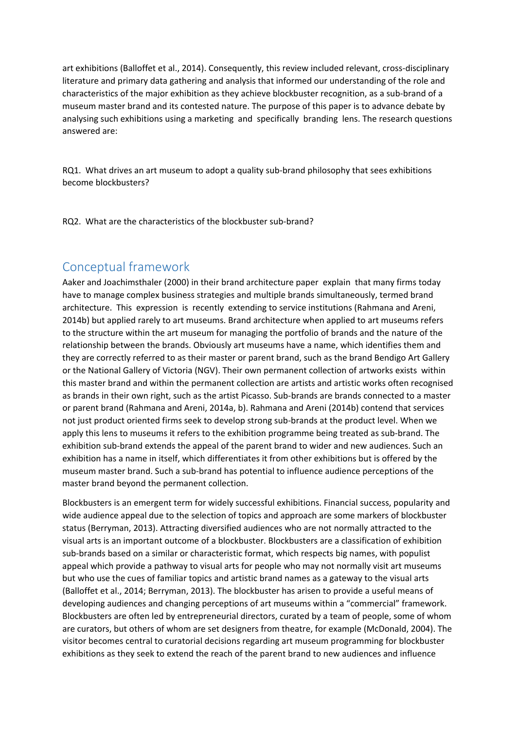art exhibitions (Balloffet et al., 2014). Consequently, this review included relevant, cross-disciplinary literature and primary data gathering and analysis that informed our understanding of the role and characteristics of the major exhibition as they achieve blockbuster recognition, as a sub-brand of a museum master brand and its contested nature. The purpose of this paper is to advance debate by analysing such exhibitions using a marketing and specifically branding lens. The research questions answered are:

RQ1. What drives an art museum to adopt a quality sub-brand philosophy that sees exhibitions become blockbusters?

RQ2. What are the characteristics of the blockbuster sub‐brand?

# Conceptual framework

Aaker and Joachimsthaler (2000) in their brand architecture paper explain that many firms today have to manage complex business strategies and multiple brands simultaneously, termed brand architecture. This expression is recently extending to service institutions (Rahmana and Areni, 2014b) but applied rarely to art museums. Brand architecture when applied to art museums refers to the structure within the art museum for managing the portfolio of brands and the nature of the relationship between the brands. Obviously art museums have a name, which identifies them and they are correctly referred to as their master or parent brand, such as the brand Bendigo Art Gallery or the National Gallery of Victoria (NGV). Their own permanent collection of artworks exists within this master brand and within the permanent collection are artists and artistic works often recognised as brands in their own right, such as the artist Picasso. Sub‐brands are brands connected to a master or parent brand (Rahmana and Areni, 2014a, b). Rahmana and Areni (2014b) contend that services not just product oriented firms seek to develop strong sub‐brands at the product level. When we apply this lens to museums it refers to the exhibition programme being treated as sub-brand. The exhibition sub-brand extends the appeal of the parent brand to wider and new audiences. Such an exhibition has a name in itself, which differentiates it from other exhibitions but is offered by the museum master brand. Such a sub‐brand has potential to influence audience perceptions of the master brand beyond the permanent collection.

Blockbusters is an emergent term for widely successful exhibitions. Financial success, popularity and wide audience appeal due to the selection of topics and approach are some markers of blockbuster status (Berryman, 2013). Attracting diversified audiences who are not normally attracted to the visual arts is an important outcome of a blockbuster. Blockbusters are a classification of exhibition sub-brands based on a similar or characteristic format, which respects big names, with populist appeal which provide a pathway to visual arts for people who may not normally visit art museums but who use the cues of familiar topics and artistic brand names as a gateway to the visual arts (Balloffet et al., 2014; Berryman, 2013). The blockbuster has arisen to provide a useful means of developing audiences and changing perceptions of art museums within a "commercial" framework. Blockbusters are often led by entrepreneurial directors, curated by a team of people, some of whom are curators, but others of whom are set designers from theatre, for example (McDonald, 2004). The visitor becomes central to curatorial decisions regarding art museum programming for blockbuster exhibitions as they seek to extend the reach of the parent brand to new audiences and influence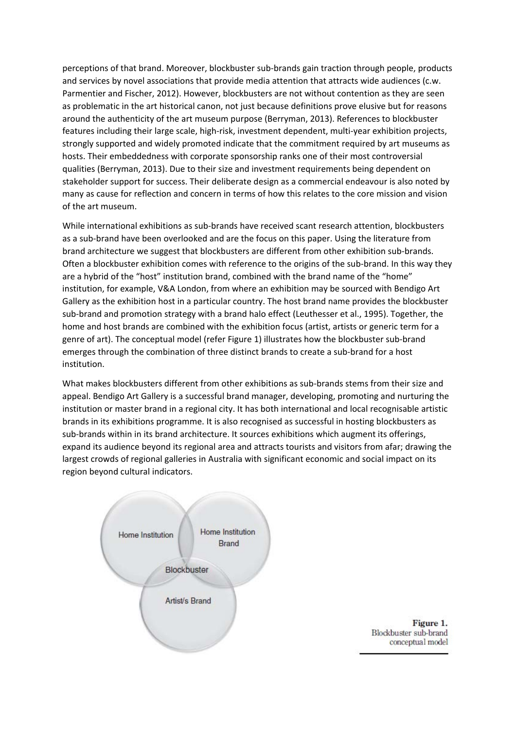perceptions of that brand. Moreover, blockbuster sub‐brands gain traction through people, products and services by novel associations that provide media attention that attracts wide audiences (c.w. Parmentier and Fischer, 2012). However, blockbusters are not without contention as they are seen as problematic in the art historical canon, not just because definitions prove elusive but for reasons around the authenticity of the art museum purpose (Berryman, 2013). References to blockbuster features including their large scale, high-risk, investment dependent, multi-year exhibition projects, strongly supported and widely promoted indicate that the commitment required by art museums as hosts. Their embeddedness with corporate sponsorship ranks one of their most controversial qualities (Berryman, 2013). Due to their size and investment requirements being dependent on stakeholder support for success. Their deliberate design as a commercial endeavour is also noted by many as cause for reflection and concern in terms of how this relates to the core mission and vision of the art museum.

While international exhibitions as sub-brands have received scant research attention, blockbusters as a sub‐brand have been overlooked and are the focus on this paper. Using the literature from brand architecture we suggest that blockbusters are different from other exhibition sub‐brands. Often a blockbuster exhibition comes with reference to the origins of the sub‐brand. In this way they are a hybrid of the "host" institution brand, combined with the brand name of the "home" institution, for example, V&A London, from where an exhibition may be sourced with Bendigo Art Gallery as the exhibition host in a particular country. The host brand name provides the blockbuster sub‐brand and promotion strategy with a brand halo effect (Leuthesser et al., 1995). Together, the home and host brands are combined with the exhibition focus (artist, artists or generic term for a genre of art). The conceptual model (refer Figure 1) illustrates how the blockbuster sub‐brand emerges through the combination of three distinct brands to create a sub‐brand for a host institution.

What makes blockbusters different from other exhibitions as sub-brands stems from their size and appeal. Bendigo Art Gallery is a successful brand manager, developing, promoting and nurturing the institution or master brand in a regional city. It has both international and local recognisable artistic brands in its exhibitions programme. It is also recognised as successful in hosting blockbusters as sub-brands within in its brand architecture. It sources exhibitions which augment its offerings, expand its audience beyond its regional area and attracts tourists and visitors from afar; drawing the largest crowds of regional galleries in Australia with significant economic and social impact on its region beyond cultural indicators.



Figure 1. Blockbuster sub-brand conceptual model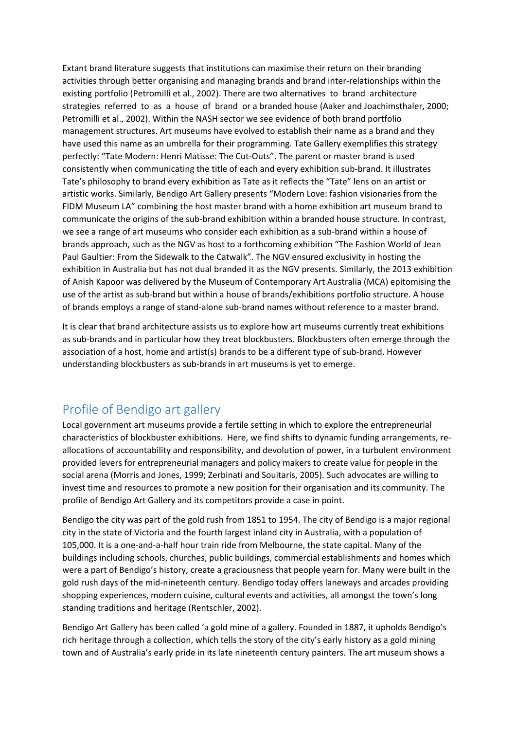Extant brand literature suggests that institutions can maximise their return on their branding activities through better organising and managing brands and brand inter-relationships within the existing portfolio (Petromilli et al., 2002). There are two alternatives to brand architecture strategies referred to as a house of brand or a branded house (Aaker and Joachimsthaler, 2000; Petromilli et al., 2002). Within the NASH sector we see evidence of both brand portfolio management structures. Art museums have evolved to establish their name as a brand and they have used this name as an umbrella for their programming. Tate Gallery exemplifies this strategy perfectly: "Tate Modern: Henri Matisse: The Cut‐Outs". The parent or master brand is used consistently when communicating the title of each and every exhibition sub‐brand. It illustrates Tate's philosophy to brand every exhibition as Tate as it reflects the "Tate" lens on an artist or artistic works. Similarly, Bendigo Art Gallery presents "Modern Love: fashion visionaries from the FIDM Museum LA" combining the host master brand with a home exhibition art museum brand to communicate the origins of the sub‐brand exhibition within a branded house structure. In contrast, we see a range of art museums who consider each exhibition as a sub-brand within a house of brands approach, such as the NGV as host to a forthcoming exhibition "The Fashion World of Jean Paul Gaultier: From the Sidewalk to the Catwalk". The NGV ensured exclusivity in hosting the exhibition in Australia but has not dual branded it as the NGV presents. Similarly, the 2013 exhibition of Anish Kapoor was delivered by the Museum of Contemporary Art Australia (MCA) epitomising the use of the artist as sub‐brand but within a house of brands/exhibitions portfolio structure. A house of brands employs a range of stand‐alone sub‐brand names without reference to a master brand.

It is clear that brand architecture assists us to explore how art museums currently treat exhibitions as sub-brands and in particular how they treat blockbusters. Blockbusters often emerge through the association of a host, home and artist(s) brands to be a different type of sub-brand. However understanding blockbusters as sub‐brands in art museums is yet to emerge.

# Profile of Bendigo art gallery

Local government art museums provide a fertile setting in which to explore the entrepreneurial characteristics of blockbuster exhibitions. Here, we find shifts to dynamic funding arrangements, re‐ allocations of accountability and responsibility, and devolution of power, in a turbulent environment provided levers for entrepreneurial managers and policy makers to create value for people in the social arena (Morris and Jones, 1999; Zerbinati and Souitaris, 2005). Such advocates are willing to invest time and resources to promote a new position for their organisation and its community. The profile of Bendigo Art Gallery and its competitors provide a case in point.

Bendigo the city was part of the gold rush from 1851 to 1954. The city of Bendigo is a major regional city in the state of Victoria and the fourth largest inland city in Australia, with a population of 105,000. It is a one‐and‐a‐half hour train ride from Melbourne, the state capital. Many of the buildings including schools, churches, public buildings, commercial establishments and homes which were a part of Bendigo's history, create a graciousness that people yearn for. Many were built in the gold rush days of the mid‐nineteenth century. Bendigo today offers laneways and arcades providing shopping experiences, modern cuisine, cultural events and activities, all amongst the town's long standing traditions and heritage (Rentschler, 2002).

Bendigo Art Gallery has been called 'a gold mine of a gallery. Founded in 1887, it upholds Bendigo's rich heritage through a collection, which tells the story of the city's early history as a gold mining town and of Australia's early pride in its late nineteenth century painters. The art museum shows a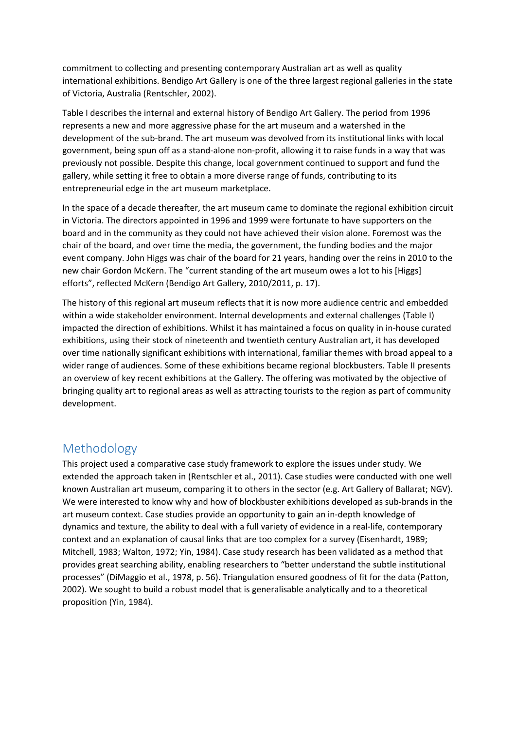commitment to collecting and presenting contemporary Australian art as well as quality international exhibitions. Bendigo Art Gallery is one of the three largest regional galleries in the state of Victoria, Australia (Rentschler, 2002).

Table I describes the internal and external history of Bendigo Art Gallery. The period from 1996 represents a new and more aggressive phase for the art museum and a watershed in the development of the sub‐brand. The art museum was devolved from its institutional links with local government, being spun off as a stand‐alone non‐profit, allowing it to raise funds in a way that was previously not possible. Despite this change, local government continued to support and fund the gallery, while setting it free to obtain a more diverse range of funds, contributing to its entrepreneurial edge in the art museum marketplace.

In the space of a decade thereafter, the art museum came to dominate the regional exhibition circuit in Victoria. The directors appointed in 1996 and 1999 were fortunate to have supporters on the board and in the community as they could not have achieved their vision alone. Foremost was the chair of the board, and over time the media, the government, the funding bodies and the major event company. John Higgs was chair of the board for 21 years, handing over the reins in 2010 to the new chair Gordon McKern. The "current standing of the art museum owes a lot to his [Higgs] efforts", reflected McKern (Bendigo Art Gallery, 2010/2011, p. 17).

The history of this regional art museum reflects that it is now more audience centric and embedded within a wide stakeholder environment. Internal developments and external challenges (Table I) impacted the direction of exhibitions. Whilst it has maintained a focus on quality in in‐house curated exhibitions, using their stock of nineteenth and twentieth century Australian art, it has developed over time nationally significant exhibitions with international, familiar themes with broad appeal to a wider range of audiences. Some of these exhibitions became regional blockbusters. Table II presents an overview of key recent exhibitions at the Gallery. The offering was motivated by the objective of bringing quality art to regional areas as well as attracting tourists to the region as part of community development.

# Methodology

This project used a comparative case study framework to explore the issues under study. We extended the approach taken in (Rentschler et al., 2011). Case studies were conducted with one well known Australian art museum, comparing it to others in the sector (e.g. Art Gallery of Ballarat; NGV). We were interested to know why and how of blockbuster exhibitions developed as sub-brands in the art museum context. Case studies provide an opportunity to gain an in‐depth knowledge of dynamics and texture, the ability to deal with a full variety of evidence in a real‐life, contemporary context and an explanation of causal links that are too complex for a survey (Eisenhardt, 1989; Mitchell, 1983; Walton, 1972; Yin, 1984). Case study research has been validated as a method that provides great searching ability, enabling researchers to "better understand the subtle institutional processes" (DiMaggio et al., 1978, p. 56). Triangulation ensured goodness of fit for the data (Patton, 2002). We sought to build a robust model that is generalisable analytically and to a theoretical proposition (Yin, 1984).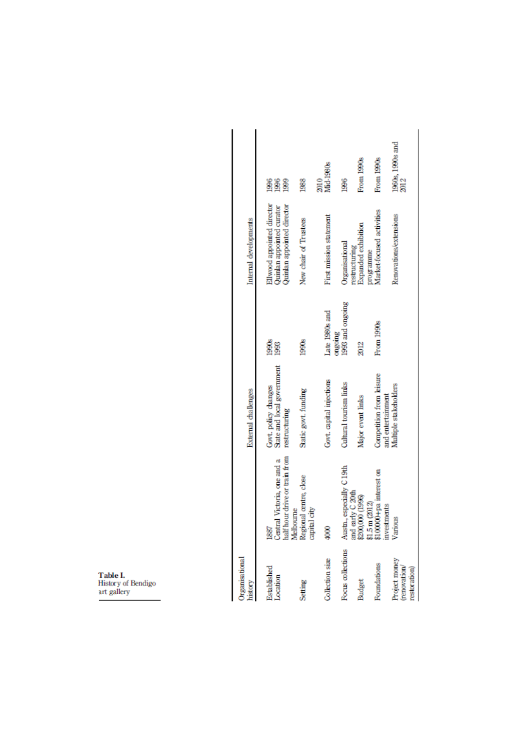| Irganisational<br>nistory                         |                                                                                                                                      | External challenges                                                 |                             | Internal developments                                                                 |                          |
|---------------------------------------------------|--------------------------------------------------------------------------------------------------------------------------------------|---------------------------------------------------------------------|-----------------------------|---------------------------------------------------------------------------------------|--------------------------|
| Established<br>Location                           | 1887<br>Central Victoria, one and a<br>half hour drive or train from<br>Melbourne<br>Regional centre, close<br>capital city          | State and local government<br>Govt. policy changes<br>restructuring | 1990s<br>1993               | Ellwood appointed director<br>Quinlan appointed director<br>Quinlan appointed curator | 1996<br>1996<br>1999     |
| etting                                            |                                                                                                                                      | Static govt. funding                                                | 1990s                       | New chair of Trustees                                                                 | 1988                     |
| ollection size                                    | $\frac{4000}{4}$                                                                                                                     | Govt. capital injections                                            | Late 1980s and              | First mission statement                                                               | Mid-1980s<br>2010        |
| ocus collections                                  |                                                                                                                                      | Cultural tourism links                                              | 1993 and ongoing<br>angoing | Organisational                                                                        | 1996                     |
| <b>Sudget</b>                                     |                                                                                                                                      | Major event links                                                   | 2012                        | Expanded exhibition<br>restructuring                                                  | From 1990s               |
| oundations                                        | Austn., especially C19th<br>and early C 20th<br>8200,000 (1996)<br>81.5 m (2012)<br>8100000-pa interest on<br>investments<br>Various | Competition from leisure<br>and entertainment                       | From 1990s                  | Market-focused activities<br>programme                                                | From 1990s               |
| <b>Toject</b> money<br>renovation/<br>estoration) |                                                                                                                                      | Multiple stakeholders                                               |                             | Renovations/extensions                                                                | 1960s, 1990s and<br>2012 |

 $\overline{\phantom{a}}$ 

 $\overline{\phantom{a}}$ 

Table I.<br>History of Bendigo<br>art gallery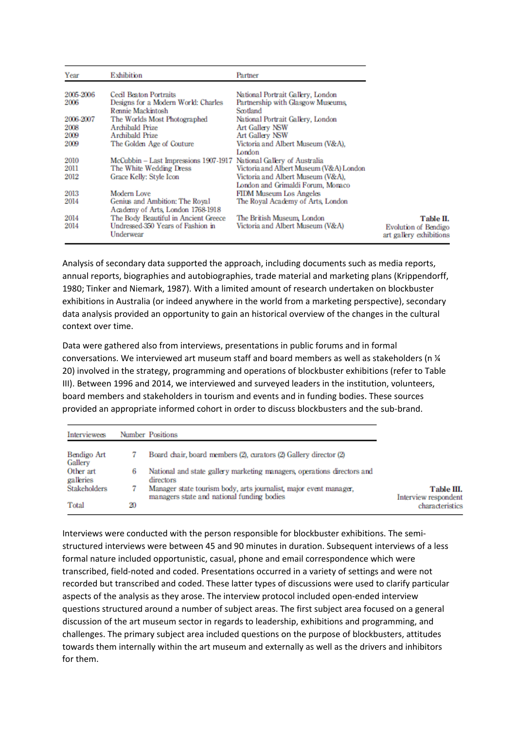| Year                              | Exhibition                                                                                      | Partner                                                                                                                 |                                                              |
|-----------------------------------|-------------------------------------------------------------------------------------------------|-------------------------------------------------------------------------------------------------------------------------|--------------------------------------------------------------|
| 2005-2006<br>2006                 | Cecil Beaton Portraits<br>Designs for a Modern World: Charles<br>Rennie Mackintosh              | National Portrait Gallery, London<br>Partnership with Glasgow Museums,<br>Scotland                                      |                                                              |
| 2006-2007<br>2008<br>2009<br>2009 | The Worlds Most Photographed<br>Archibald Prize<br>Archibald Prize<br>The Golden Age of Couture | National Portrait Gallery, London<br><b>Art Gallery NSW</b><br>Art Gallery NSW<br>Victoria and Albert Museum (V&A),     |                                                              |
| 2010<br>2011<br>2012              | McCubbin - Last Impressions 1907-1917<br>The White Wedding Dress<br>Grace Kelly: Style Icon     | London<br>National Gallery of Australia<br>Victoria and Albert Museum (V&A) London<br>Victoria and Albert Museum (V&A). |                                                              |
| 2013<br>2014                      | Modern Love<br>Genius and Ambition: The Royal<br>Academy of Arts, London 1768-1918              | London and Grimaldi Forum, Monaco<br><b>FIDM Museum Los Angeles</b><br>The Royal Academy of Arts, London                |                                                              |
| 2014<br>2014                      | The Body Beautiful in Ancient Greece<br>Undressed-350 Years of Fashion in<br>Underwear          | The British Museum, London<br>Victoria and Albert Museum (V&A)                                                          | Table II.<br>Evolution of Bendigo<br>art gallery exhibitions |

Analysis of secondary data supported the approach, including documents such as media reports, annual reports, biographies and autobiographies, trade material and marketing plans (Krippendorff, 1980; Tinker and Niemark, 1987). With a limited amount of research undertaken on blockbuster exhibitions in Australia (or indeed anywhere in the world from a marketing perspective), secondary data analysis provided an opportunity to gain an historical overview of the changes in the cultural context over time.

Data were gathered also from interviews, presentations in public forums and in formal conversations. We interviewed art museum staff and board members as well as stakeholders (n ¼ 20) involved in the strategy, programming and operations of blockbuster exhibitions (refer to Table III). Between 1996 and 2014, we interviewed and surveyed leaders in the institution, volunteers, board members and stakeholders in tourism and events and in funding bodies. These sources provided an appropriate informed cohort in order to discuss blockbusters and the sub‐brand.

| <b>Interviewees</b>    |    | Number Positions                                                                                                |                                         |
|------------------------|----|-----------------------------------------------------------------------------------------------------------------|-----------------------------------------|
| Bendigo Art<br>Gallery |    | Board chair, board members (2), curators (2) Gallery director (2)                                               |                                         |
| Other art<br>galleries | 6  | National and state gallery marketing managers, operations directors and<br>directors                            |                                         |
| <b>Stakeholders</b>    |    | Manager state tourism body, arts journalist, major event manager,<br>managers state and national funding bodies | Table III.                              |
| Total                  | 20 |                                                                                                                 | Interview respondent<br>characteristics |

Interviews were conducted with the person responsible for blockbuster exhibitions. The semi‐ structured interviews were between 45 and 90 minutes in duration. Subsequent interviews of a less formal nature included opportunistic, casual, phone and email correspondence which were transcribed, field‐noted and coded. Presentations occurred in a variety of settings and were not recorded but transcribed and coded. These latter types of discussions were used to clarify particular aspects of the analysis as they arose. The interview protocol included open‐ended interview questions structured around a number of subject areas. The first subject area focused on a general discussion of the art museum sector in regards to leadership, exhibitions and programming, and challenges. The primary subject area included questions on the purpose of blockbusters, attitudes towards them internally within the art museum and externally as well as the drivers and inhibitors for them.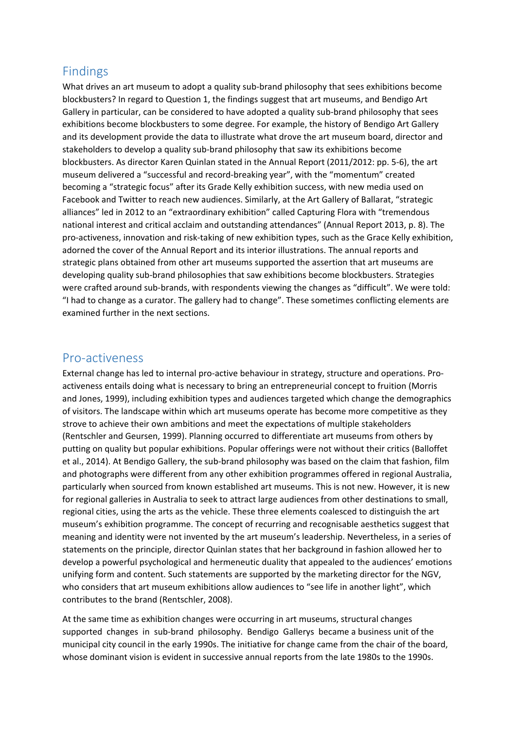# Findings

What drives an art museum to adopt a quality sub-brand philosophy that sees exhibitions become blockbusters? In regard to Question 1, the findings suggest that art museums, and Bendigo Art Gallery in particular, can be considered to have adopted a quality sub‐brand philosophy that sees exhibitions become blockbusters to some degree. For example, the history of Bendigo Art Gallery and its development provide the data to illustrate what drove the art museum board, director and stakeholders to develop a quality sub‐brand philosophy that saw its exhibitions become blockbusters. As director Karen Quinlan stated in the Annual Report (2011/2012: pp. 5‐6), the art museum delivered a "successful and record‐breaking year", with the "momentum" created becoming a "strategic focus" after its Grade Kelly exhibition success, with new media used on Facebook and Twitter to reach new audiences. Similarly, at the Art Gallery of Ballarat, "strategic alliances" led in 2012 to an "extraordinary exhibition" called Capturing Flora with "tremendous national interest and critical acclaim and outstanding attendances" (Annual Report 2013, p. 8). The pro‐activeness, innovation and risk‐taking of new exhibition types, such as the Grace Kelly exhibition, adorned the cover of the Annual Report and its interior illustrations. The annual reports and strategic plans obtained from other art museums supported the assertion that art museums are developing quality sub‐brand philosophies that saw exhibitions become blockbusters. Strategies were crafted around sub‐brands, with respondents viewing the changes as "difficult". We were told: "I had to change as a curator. The gallery had to change". These sometimes conflicting elements are examined further in the next sections.

# Pro‐activeness

External change has led to internal pro-active behaviour in strategy, structure and operations. Proactiveness entails doing what is necessary to bring an entrepreneurial concept to fruition (Morris and Jones, 1999), including exhibition types and audiences targeted which change the demographics of visitors. The landscape within which art museums operate has become more competitive as they strove to achieve their own ambitions and meet the expectations of multiple stakeholders (Rentschler and Geursen, 1999). Planning occurred to differentiate art museums from others by putting on quality but popular exhibitions. Popular offerings were not without their critics (Balloffet et al., 2014). At Bendigo Gallery, the sub-brand philosophy was based on the claim that fashion, film and photographs were different from any other exhibition programmes offered in regional Australia, particularly when sourced from known established art museums. This is not new. However, it is new for regional galleries in Australia to seek to attract large audiences from other destinations to small, regional cities, using the arts as the vehicle. These three elements coalesced to distinguish the art museum's exhibition programme. The concept of recurring and recognisable aesthetics suggest that meaning and identity were not invented by the art museum's leadership. Nevertheless, in a series of statements on the principle, director Quinlan states that her background in fashion allowed her to develop a powerful psychological and hermeneutic duality that appealed to the audiences' emotions unifying form and content. Such statements are supported by the marketing director for the NGV, who considers that art museum exhibitions allow audiences to "see life in another light", which contributes to the brand (Rentschler, 2008).

At the same time as exhibition changes were occurring in art museums, structural changes supported changes in sub-brand philosophy. Bendigo Gallerys became a business unit of the municipal city council in the early 1990s. The initiative for change came from the chair of the board, whose dominant vision is evident in successive annual reports from the late 1980s to the 1990s.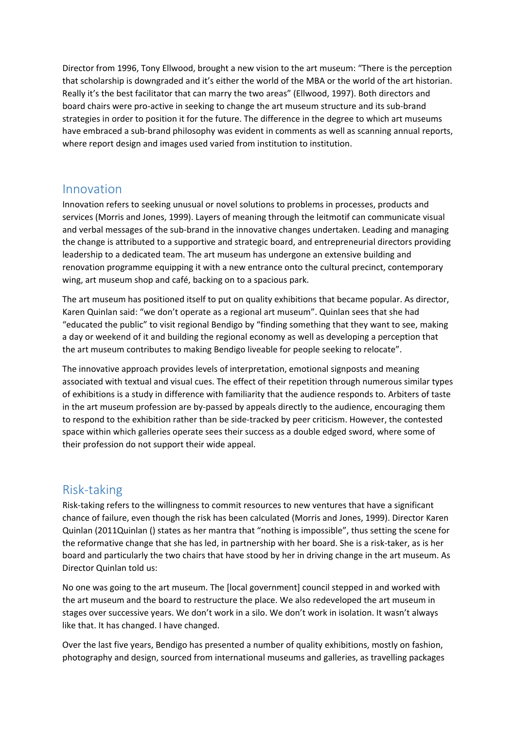Director from 1996, Tony Ellwood, brought a new vision to the art museum: "There is the perception that scholarship is downgraded and it's either the world of the MBA or the world of the art historian. Really it's the best facilitator that can marry the two areas" (Ellwood, 1997). Both directors and board chairs were pro‐active in seeking to change the art museum structure and its sub‐brand strategies in order to position it for the future. The difference in the degree to which art museums have embraced a sub-brand philosophy was evident in comments as well as scanning annual reports, where report design and images used varied from institution to institution.

## Innovation

Innovation refers to seeking unusual or novel solutions to problems in processes, products and services (Morris and Jones, 1999). Layers of meaning through the leitmotif can communicate visual and verbal messages of the sub‐brand in the innovative changes undertaken. Leading and managing the change is attributed to a supportive and strategic board, and entrepreneurial directors providing leadership to a dedicated team. The art museum has undergone an extensive building and renovation programme equipping it with a new entrance onto the cultural precinct, contemporary wing, art museum shop and café, backing on to a spacious park.

The art museum has positioned itself to put on quality exhibitions that became popular. As director, Karen Quinlan said: "we don't operate as a regional art museum". Quinlan sees that she had "educated the public" to visit regional Bendigo by "finding something that they want to see, making a day or weekend of it and building the regional economy as well as developing a perception that the art museum contributes to making Bendigo liveable for people seeking to relocate".

The innovative approach provides levels of interpretation, emotional signposts and meaning associated with textual and visual cues. The effect of their repetition through numerous similar types of exhibitions is a study in difference with familiarity that the audience responds to. Arbiters of taste in the art museum profession are by-passed by appeals directly to the audience, encouraging them to respond to the exhibition rather than be side-tracked by peer criticism. However, the contested space within which galleries operate sees their success as a double edged sword, where some of their profession do not support their wide appeal.

# Risk‐taking

Risk‐taking refers to the willingness to commit resources to new ventures that have a significant chance of failure, even though the risk has been calculated (Morris and Jones, 1999). Director Karen Quinlan (2011Quinlan () states as her mantra that "nothing is impossible", thus setting the scene for the reformative change that she has led, in partnership with her board. She is a risk‐taker, as is her board and particularly the two chairs that have stood by her in driving change in the art museum. As Director Quinlan told us:

No one was going to the art museum. The [local government] council stepped in and worked with the art museum and the board to restructure the place. We also redeveloped the art museum in stages over successive years. We don't work in a silo. We don't work in isolation. It wasn't always like that. It has changed. I have changed.

Over the last five years, Bendigo has presented a number of quality exhibitions, mostly on fashion, photography and design, sourced from international museums and galleries, as travelling packages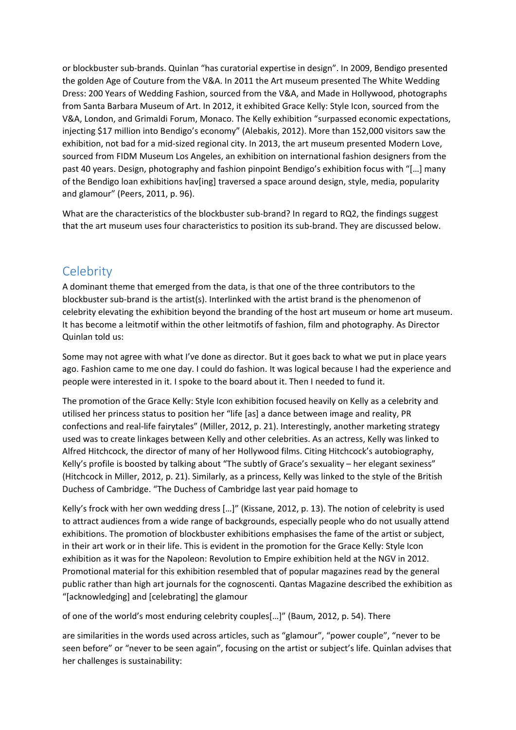or blockbuster sub‐brands. Quinlan "has curatorial expertise in design". In 2009, Bendigo presented the golden Age of Couture from the V&A. In 2011 the Art museum presented The White Wedding Dress: 200 Years of Wedding Fashion, sourced from the V&A, and Made in Hollywood, photographs from Santa Barbara Museum of Art. In 2012, it exhibited Grace Kelly: Style Icon, sourced from the V&A, London, and Grimaldi Forum, Monaco. The Kelly exhibition "surpassed economic expectations, injecting \$17 million into Bendigo's economy" (Alebakis, 2012). More than 152,000 visitors saw the exhibition, not bad for a mid‐sized regional city. In 2013, the art museum presented Modern Love, sourced from FIDM Museum Los Angeles, an exhibition on international fashion designers from the past 40 years. Design, photography and fashion pinpoint Bendigo's exhibition focus with "[…] many of the Bendigo loan exhibitions hav[ing] traversed a space around design, style, media, popularity and glamour" (Peers, 2011, p. 96).

What are the characteristics of the blockbuster sub-brand? In regard to RQ2, the findings suggest that the art museum uses four characteristics to position its sub‐brand. They are discussed below.

# **Celebrity**

A dominant theme that emerged from the data, is that one of the three contributors to the blockbuster sub‐brand is the artist(s). Interlinked with the artist brand is the phenomenon of celebrity elevating the exhibition beyond the branding of the host art museum or home art museum. It has become a leitmotif within the other leitmotifs of fashion, film and photography. As Director Quinlan told us:

Some may not agree with what I've done as director. But it goes back to what we put in place years ago. Fashion came to me one day. I could do fashion. It was logical because I had the experience and people were interested in it. I spoke to the board about it. Then I needed to fund it.

The promotion of the Grace Kelly: Style Icon exhibition focused heavily on Kelly as a celebrity and utilised her princess status to position her "life [as] a dance between image and reality, PR confections and real‐life fairytales" (Miller, 2012, p. 21). Interestingly, another marketing strategy used was to create linkages between Kelly and other celebrities. As an actress, Kelly was linked to Alfred Hitchcock, the director of many of her Hollywood films. Citing Hitchcock's autobiography, Kelly's profile is boosted by talking about "The subtly of Grace's sexuality – her elegant sexiness" (Hitchcock in Miller, 2012, p. 21). Similarly, as a princess, Kelly was linked to the style of the British Duchess of Cambridge. "The Duchess of Cambridge last year paid homage to

Kelly's frock with her own wedding dress […]" (Kissane, 2012, p. 13). The notion of celebrity is used to attract audiences from a wide range of backgrounds, especially people who do not usually attend exhibitions. The promotion of blockbuster exhibitions emphasises the fame of the artist or subject, in their art work or in their life. This is evident in the promotion for the Grace Kelly: Style Icon exhibition as it was for the Napoleon: Revolution to Empire exhibition held at the NGV in 2012. Promotional material for this exhibition resembled that of popular magazines read by the general public rather than high art journals for the cognoscenti. Qantas Magazine described the exhibition as "[acknowledging] and [celebrating] the glamour

of one of the world's most enduring celebrity couples[…]" (Baum, 2012, p. 54). There

are similarities in the words used across articles, such as "glamour", "power couple", "never to be seen before" or "never to be seen again", focusing on the artist or subject's life. Quinlan advises that her challenges is sustainability: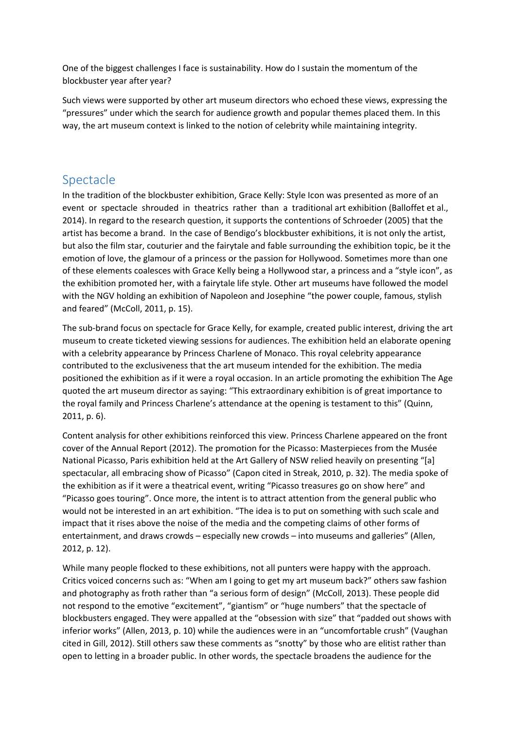One of the biggest challenges I face is sustainability. How do I sustain the momentum of the blockbuster year after year?

Such views were supported by other art museum directors who echoed these views, expressing the "pressures" under which the search for audience growth and popular themes placed them. In this way, the art museum context is linked to the notion of celebrity while maintaining integrity.

## Spectacle

In the tradition of the blockbuster exhibition, Grace Kelly: Style Icon was presented as more of an event or spectacle shrouded in theatrics rather than a traditional art exhibition (Balloffet et al., 2014). In regard to the research question, it supports the contentions of Schroeder (2005) that the artist has become a brand. In the case of Bendigo's blockbuster exhibitions, it is not only the artist, but also the film star, couturier and the fairytale and fable surrounding the exhibition topic, be it the emotion of love, the glamour of a princess or the passion for Hollywood. Sometimes more than one of these elements coalesces with Grace Kelly being a Hollywood star, a princess and a "style icon", as the exhibition promoted her, with a fairytale life style. Other art museums have followed the model with the NGV holding an exhibition of Napoleon and Josephine "the power couple, famous, stylish and feared" (McColl, 2011, p. 15).

The sub‐brand focus on spectacle for Grace Kelly, for example, created public interest, driving the art museum to create ticketed viewing sessions for audiences. The exhibition held an elaborate opening with a celebrity appearance by Princess Charlene of Monaco. This royal celebrity appearance contributed to the exclusiveness that the art museum intended for the exhibition. The media positioned the exhibition as if it were a royal occasion. In an article promoting the exhibition The Age quoted the art museum director as saying: "This extraordinary exhibition is of great importance to the royal family and Princess Charlene's attendance at the opening is testament to this" (Quinn, 2011, p. 6).

Content analysis for other exhibitions reinforced this view. Princess Charlene appeared on the front cover of the Annual Report (2012). The promotion for the Picasso: Masterpieces from the Musée National Picasso, Paris exhibition held at the Art Gallery of NSW relied heavily on presenting "[a] spectacular, all embracing show of Picasso" (Capon cited in Streak, 2010, p. 32). The media spoke of the exhibition as if it were a theatrical event, writing "Picasso treasures go on show here" and "Picasso goes touring". Once more, the intent is to attract attention from the general public who would not be interested in an art exhibition. "The idea is to put on something with such scale and impact that it rises above the noise of the media and the competing claims of other forms of entertainment, and draws crowds – especially new crowds – into museums and galleries" (Allen, 2012, p. 12).

While many people flocked to these exhibitions, not all punters were happy with the approach. Critics voiced concerns such as: "When am I going to get my art museum back?" others saw fashion and photography as froth rather than "a serious form of design" (McColl, 2013). These people did not respond to the emotive "excitement", "giantism" or "huge numbers" that the spectacle of blockbusters engaged. They were appalled at the "obsession with size" that "padded out shows with inferior works" (Allen, 2013, p. 10) while the audiences were in an "uncomfortable crush" (Vaughan cited in Gill, 2012). Still others saw these comments as "snotty" by those who are elitist rather than open to letting in a broader public. In other words, the spectacle broadens the audience for the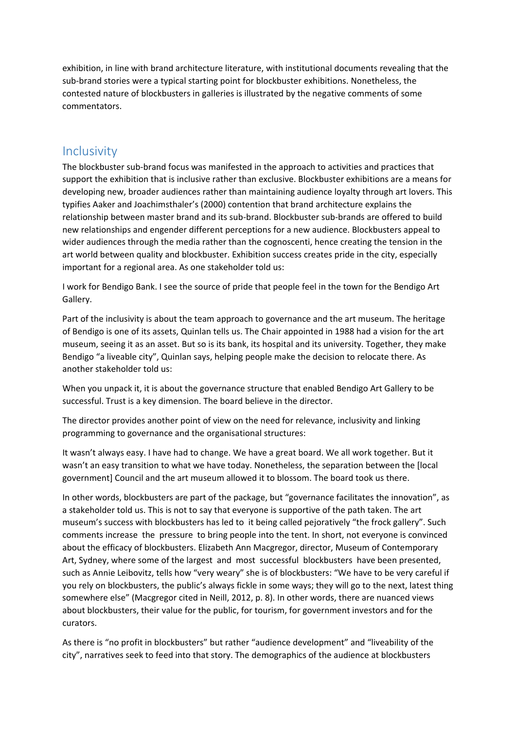exhibition, in line with brand architecture literature, with institutional documents revealing that the sub-brand stories were a typical starting point for blockbuster exhibitions. Nonetheless, the contested nature of blockbusters in galleries is illustrated by the negative comments of some commentators.

# **Inclusivity**

The blockbuster sub‐brand focus was manifested in the approach to activities and practices that support the exhibition that is inclusive rather than exclusive. Blockbuster exhibitions are a means for developing new, broader audiences rather than maintaining audience loyalty through art lovers. This typifies Aaker and Joachimsthaler's (2000) contention that brand architecture explains the relationship between master brand and its sub‐brand. Blockbuster sub‐brands are offered to build new relationships and engender different perceptions for a new audience. Blockbusters appeal to wider audiences through the media rather than the cognoscenti, hence creating the tension in the art world between quality and blockbuster. Exhibition success creates pride in the city, especially important for a regional area. As one stakeholder told us:

I work for Bendigo Bank. I see the source of pride that people feel in the town for the Bendigo Art Gallery.

Part of the inclusivity is about the team approach to governance and the art museum. The heritage of Bendigo is one of its assets, Quinlan tells us. The Chair appointed in 1988 had a vision for the art museum, seeing it as an asset. But so is its bank, its hospital and its university. Together, they make Bendigo "a liveable city", Quinlan says, helping people make the decision to relocate there. As another stakeholder told us:

When you unpack it, it is about the governance structure that enabled Bendigo Art Gallery to be successful. Trust is a key dimension. The board believe in the director.

The director provides another point of view on the need for relevance, inclusivity and linking programming to governance and the organisational structures:

It wasn't always easy. I have had to change. We have a great board. We all work together. But it wasn't an easy transition to what we have today. Nonetheless, the separation between the [local government] Council and the art museum allowed it to blossom. The board took us there.

In other words, blockbusters are part of the package, but "governance facilitates the innovation", as a stakeholder told us. This is not to say that everyone is supportive of the path taken. The art museum's success with blockbusters has led to it being called pejoratively "the frock gallery". Such comments increase the pressure to bring people into the tent. In short, not everyone is convinced about the efficacy of blockbusters. Elizabeth Ann Macgregor, director, Museum of Contemporary Art, Sydney, where some of the largest and most successful blockbusters have been presented, such as Annie Leibovitz, tells how "very weary" she is of blockbusters: "We have to be very careful if you rely on blockbusters, the public's always fickle in some ways; they will go to the next, latest thing somewhere else" (Macgregor cited in Neill, 2012, p. 8). In other words, there are nuanced views about blockbusters, their value for the public, for tourism, for government investors and for the curators.

As there is "no profit in blockbusters" but rather "audience development" and "liveability of the city", narratives seek to feed into that story. The demographics of the audience at blockbusters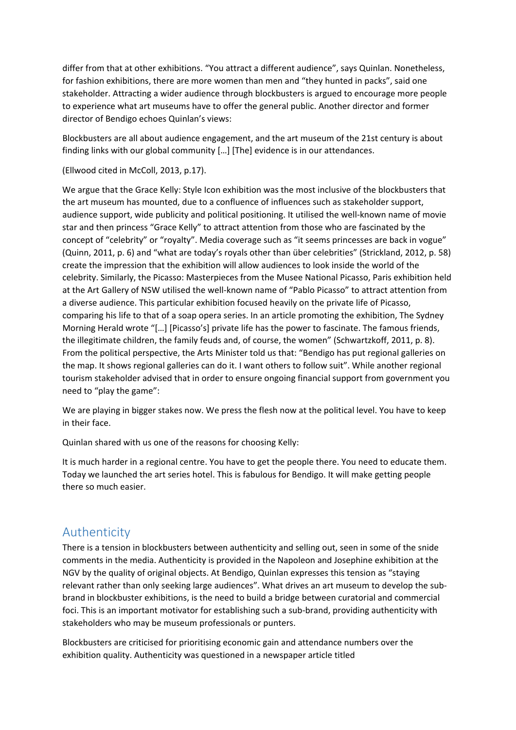differ from that at other exhibitions. "You attract a different audience", says Quinlan. Nonetheless, for fashion exhibitions, there are more women than men and "they hunted in packs", said one stakeholder. Attracting a wider audience through blockbusters is argued to encourage more people to experience what art museums have to offer the general public. Another director and former director of Bendigo echoes Quinlan's views:

Blockbusters are all about audience engagement, and the art museum of the 21st century is about finding links with our global community […] [The] evidence is in our attendances.

(Ellwood cited in McColl, 2013, p.17).

We argue that the Grace Kelly: Style Icon exhibition was the most inclusive of the blockbusters that the art museum has mounted, due to a confluence of influences such as stakeholder support, audience support, wide publicity and political positioning. It utilised the well-known name of movie star and then princess "Grace Kelly" to attract attention from those who are fascinated by the concept of "celebrity" or "royalty". Media coverage such as "it seems princesses are back in vogue" (Quinn, 2011, p. 6) and "what are today's royals other than über celebrities" (Strickland, 2012, p. 58) create the impression that the exhibition will allow audiences to look inside the world of the celebrity. Similarly, the Picasso: Masterpieces from the Musee National Picasso, Paris exhibition held at the Art Gallery of NSW utilised the well-known name of "Pablo Picasso" to attract attention from a diverse audience. This particular exhibition focused heavily on the private life of Picasso, comparing his life to that of a soap opera series. In an article promoting the exhibition, The Sydney Morning Herald wrote "[…] [Picasso's] private life has the power to fascinate. The famous friends, the illegitimate children, the family feuds and, of course, the women" (Schwartzkoff, 2011, p. 8). From the political perspective, the Arts Minister told us that: "Bendigo has put regional galleries on the map. It shows regional galleries can do it. I want others to follow suit". While another regional tourism stakeholder advised that in order to ensure ongoing financial support from government you need to "play the game":

We are playing in bigger stakes now. We press the flesh now at the political level. You have to keep in their face.

Quinlan shared with us one of the reasons for choosing Kelly:

It is much harder in a regional centre. You have to get the people there. You need to educate them. Today we launched the art series hotel. This is fabulous for Bendigo. It will make getting people there so much easier.

# Authenticity

There is a tension in blockbusters between authenticity and selling out, seen in some of the snide comments in the media. Authenticity is provided in the Napoleon and Josephine exhibition at the NGV by the quality of original objects. At Bendigo, Quinlan expresses this tension as "staying relevant rather than only seeking large audiences". What drives an art museum to develop the sub‐ brand in blockbuster exhibitions, is the need to build a bridge between curatorial and commercial foci. This is an important motivator for establishing such a sub-brand, providing authenticity with stakeholders who may be museum professionals or punters.

Blockbusters are criticised for prioritising economic gain and attendance numbers over the exhibition quality. Authenticity was questioned in a newspaper article titled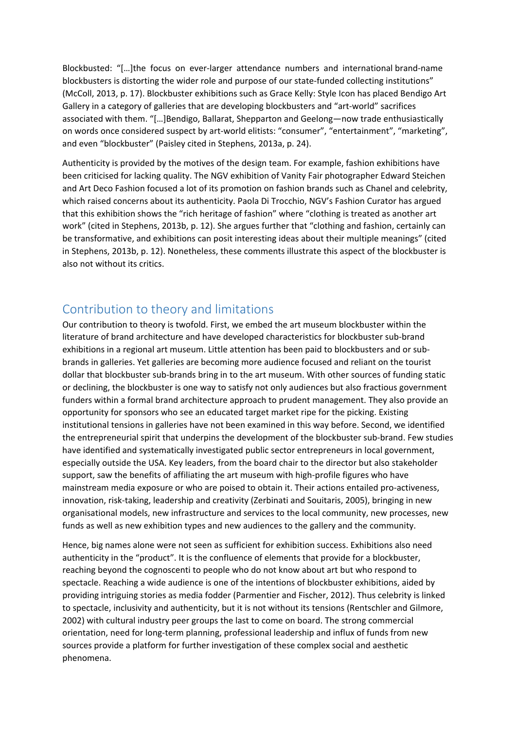Blockbusted: "[…]the focus on ever‐larger attendance numbers and international brand‐name blockbusters is distorting the wider role and purpose of our state-funded collecting institutions" (McColl, 2013, p. 17). Blockbuster exhibitions such as Grace Kelly: Style Icon has placed Bendigo Art Gallery in a category of galleries that are developing blockbusters and "art‐world" sacrifices associated with them. "[…]Bendigo, Ballarat, Shepparton and Geelong—now trade enthusiastically on words once considered suspect by art‐world elitists: "consumer", "entertainment", "marketing", and even "blockbuster" (Paisley cited in Stephens, 2013a, p. 24).

Authenticity is provided by the motives of the design team. For example, fashion exhibitions have been criticised for lacking quality. The NGV exhibition of Vanity Fair photographer Edward Steichen and Art Deco Fashion focused a lot of its promotion on fashion brands such as Chanel and celebrity, which raised concerns about its authenticity. Paola Di Trocchio, NGV's Fashion Curator has argued that this exhibition shows the "rich heritage of fashion" where "clothing is treated as another art work" (cited in Stephens, 2013b, p. 12). She argues further that "clothing and fashion, certainly can be transformative, and exhibitions can posit interesting ideas about their multiple meanings" (cited in Stephens, 2013b, p. 12). Nonetheless, these comments illustrate this aspect of the blockbuster is also not without its critics.

# Contribution to theory and limitations

Our contribution to theory is twofold. First, we embed the art museum blockbuster within the literature of brand architecture and have developed characteristics for blockbuster sub‐brand exhibitions in a regional art museum. Little attention has been paid to blockbusters and or sub‐ brands in galleries. Yet galleries are becoming more audience focused and reliant on the tourist dollar that blockbuster sub‐brands bring in to the art museum. With other sources of funding static or declining, the blockbuster is one way to satisfy not only audiences but also fractious government funders within a formal brand architecture approach to prudent management. They also provide an opportunity for sponsors who see an educated target market ripe for the picking. Existing institutional tensions in galleries have not been examined in this way before. Second, we identified the entrepreneurial spirit that underpins the development of the blockbuster sub‐brand. Few studies have identified and systematically investigated public sector entrepreneurs in local government, especially outside the USA. Key leaders, from the board chair to the director but also stakeholder support, saw the benefits of affiliating the art museum with high-profile figures who have mainstream media exposure or who are poised to obtain it. Their actions entailed pro‐activeness, innovation, risk-taking, leadership and creativity (Zerbinati and Souitaris, 2005), bringing in new organisational models, new infrastructure and services to the local community, new processes, new funds as well as new exhibition types and new audiences to the gallery and the community.

Hence, big names alone were not seen as sufficient for exhibition success. Exhibitions also need authenticity in the "product". It is the confluence of elements that provide for a blockbuster, reaching beyond the cognoscenti to people who do not know about art but who respond to spectacle. Reaching a wide audience is one of the intentions of blockbuster exhibitions, aided by providing intriguing stories as media fodder (Parmentier and Fischer, 2012). Thus celebrity is linked to spectacle, inclusivity and authenticity, but it is not without its tensions (Rentschler and Gilmore, 2002) with cultural industry peer groups the last to come on board. The strong commercial orientation, need for long‐term planning, professional leadership and influx of funds from new sources provide a platform for further investigation of these complex social and aesthetic phenomena.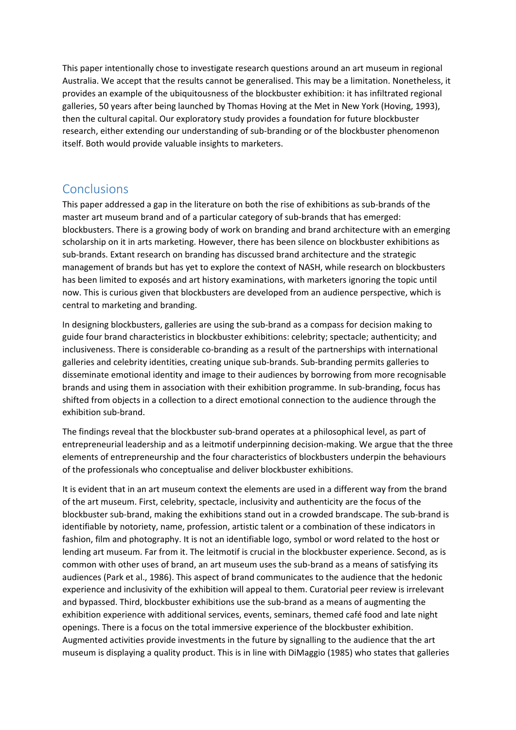This paper intentionally chose to investigate research questions around an art museum in regional Australia. We accept that the results cannot be generalised. This may be a limitation. Nonetheless, it provides an example of the ubiquitousness of the blockbuster exhibition: it has infiltrated regional galleries, 50 years after being launched by Thomas Hoving at the Met in New York (Hoving, 1993), then the cultural capital. Our exploratory study provides a foundation for future blockbuster research, either extending our understanding of sub‐branding or of the blockbuster phenomenon itself. Both would provide valuable insights to marketers.

# **Conclusions**

This paper addressed a gap in the literature on both the rise of exhibitions as sub‐brands of the master art museum brand and of a particular category of sub‐brands that has emerged: blockbusters. There is a growing body of work on branding and brand architecture with an emerging scholarship on it in arts marketing. However, there has been silence on blockbuster exhibitions as sub‐brands. Extant research on branding has discussed brand architecture and the strategic management of brands but has yet to explore the context of NASH, while research on blockbusters has been limited to exposés and art history examinations, with marketers ignoring the topic until now. This is curious given that blockbusters are developed from an audience perspective, which is central to marketing and branding.

In designing blockbusters, galleries are using the sub‐brand as a compass for decision making to guide four brand characteristics in blockbuster exhibitions: celebrity; spectacle; authenticity; and inclusiveness. There is considerable co-branding as a result of the partnerships with international galleries and celebrity identities, creating unique sub‐brands. Sub‐branding permits galleries to disseminate emotional identity and image to their audiences by borrowing from more recognisable brands and using them in association with their exhibition programme. In sub‐branding, focus has shifted from objects in a collection to a direct emotional connection to the audience through the exhibition sub‐brand.

The findings reveal that the blockbuster sub-brand operates at a philosophical level, as part of entrepreneurial leadership and as a leitmotif underpinning decision‐making. We argue that the three elements of entrepreneurship and the four characteristics of blockbusters underpin the behaviours of the professionals who conceptualise and deliver blockbuster exhibitions.

It is evident that in an art museum context the elements are used in a different way from the brand of the art museum. First, celebrity, spectacle, inclusivity and authenticity are the focus of the blockbuster sub‐brand, making the exhibitions stand out in a crowded brandscape. The sub‐brand is identifiable by notoriety, name, profession, artistic talent or a combination of these indicators in fashion, film and photography. It is not an identifiable logo, symbol or word related to the host or lending art museum. Far from it. The leitmotif is crucial in the blockbuster experience. Second, as is common with other uses of brand, an art museum uses the sub-brand as a means of satisfying its audiences (Park et al., 1986). This aspect of brand communicates to the audience that the hedonic experience and inclusivity of the exhibition will appeal to them. Curatorial peer review is irrelevant and bypassed. Third, blockbuster exhibitions use the sub‐brand as a means of augmenting the exhibition experience with additional services, events, seminars, themed café food and late night openings. There is a focus on the total immersive experience of the blockbuster exhibition. Augmented activities provide investments in the future by signalling to the audience that the art museum is displaying a quality product. This is in line with DiMaggio (1985) who states that galleries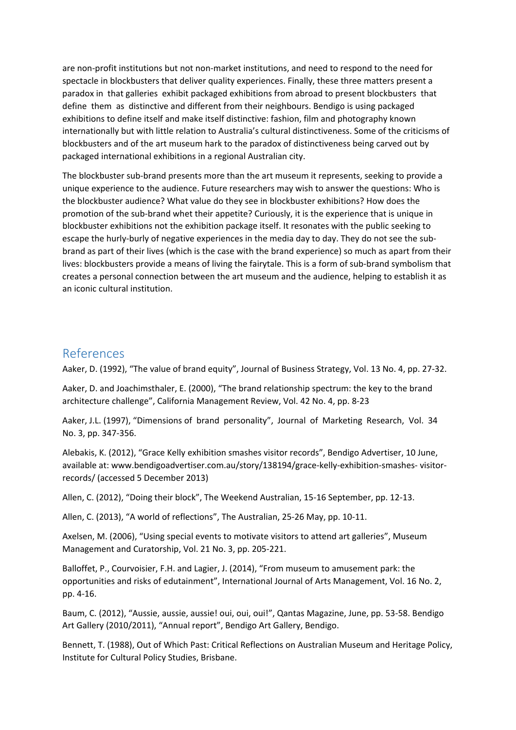are non‐profit institutions but not non‐market institutions, and need to respond to the need for spectacle in blockbusters that deliver quality experiences. Finally, these three matters present a paradox in that galleries exhibit packaged exhibitions from abroad to present blockbusters that define them as distinctive and different from their neighbours. Bendigo is using packaged exhibitions to define itself and make itself distinctive: fashion, film and photography known internationally but with little relation to Australia's cultural distinctiveness. Some of the criticisms of blockbusters and of the art museum hark to the paradox of distinctiveness being carved out by packaged international exhibitions in a regional Australian city.

The blockbuster sub-brand presents more than the art museum it represents, seeking to provide a unique experience to the audience. Future researchers may wish to answer the questions: Who is the blockbuster audience? What value do they see in blockbuster exhibitions? How does the promotion of the sub‐brand whet their appetite? Curiously, it is the experience that is unique in blockbuster exhibitions not the exhibition package itself. It resonates with the public seeking to escape the hurly-burly of negative experiences in the media day to day. They do not see the subbrand as part of their lives (which is the case with the brand experience) so much as apart from their lives: blockbusters provide a means of living the fairytale. This is a form of sub‐brand symbolism that creates a personal connection between the art museum and the audience, helping to establish it as an iconic cultural institution.

# References

Aaker, D. (1992), "The value of brand equity", Journal of Business Strategy, Vol. 13 No. 4, pp. 27‐32.

Aaker, D. and Joachimsthaler, E. (2000), "The brand relationship spectrum: the key to the brand architecture challenge", California Management Review, Vol. 42 No. 4, pp. 8‐23

Aaker, J.L. (1997), "Dimensions of brand personality", Journal of Marketing Research, Vol. 34 No. 3, pp. 347‐356.

Alebakis, K. (2012), "Grace Kelly exhibition smashes visitor records", Bendigo Advertiser, 10 June, available at: www.bendigoadvertiser.com.au/story/138194/grace‐kelly‐exhibition‐smashes‐ visitor‐ records/ (accessed 5 December 2013)

Allen, C. (2012), "Doing their block", The Weekend Australian, 15‐16 September, pp. 12‐13.

Allen, C. (2013), "A world of reflections", The Australian, 25‐26 May, pp. 10‐11.

Axelsen, M. (2006), "Using special events to motivate visitors to attend art galleries", Museum Management and Curatorship, Vol. 21 No. 3, pp. 205‐221.

Balloffet, P., Courvoisier, F.H. and Lagier, J. (2014), "From museum to amusement park: the opportunities and risks of edutainment", International Journal of Arts Management, Vol. 16 No. 2, pp. 4‐16.

Baum, C. (2012), "Aussie, aussie, aussie! oui, oui, oui!", Qantas Magazine, June, pp. 53‐58. Bendigo Art Gallery (2010/2011), "Annual report", Bendigo Art Gallery, Bendigo.

Bennett, T. (1988), Out of Which Past: Critical Reflections on Australian Museum and Heritage Policy, Institute for Cultural Policy Studies, Brisbane.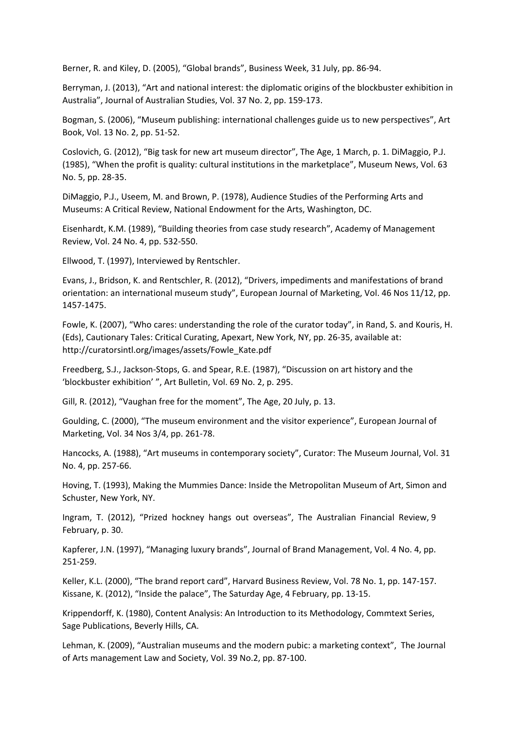Berner, R. and Kiley, D. (2005), "Global brands", Business Week, 31 July, pp. 86‐94.

Berryman, J. (2013), "Art and national interest: the diplomatic origins of the blockbuster exhibition in Australia", Journal of Australian Studies, Vol. 37 No. 2, pp. 159‐173.

Bogman, S. (2006), "Museum publishing: international challenges guide us to new perspectives", Art Book, Vol. 13 No. 2, pp. 51‐52.

Coslovich, G. (2012), "Big task for new art museum director", The Age, 1 March, p. 1. DiMaggio, P.J. (1985), "When the profit is quality: cultural institutions in the marketplace", Museum News, Vol. 63 No. 5, pp. 28‐35.

DiMaggio, P.J., Useem, M. and Brown, P. (1978), Audience Studies of the Performing Arts and Museums: A Critical Review, National Endowment for the Arts, Washington, DC.

Eisenhardt, K.M. (1989), "Building theories from case study research", Academy of Management Review, Vol. 24 No. 4, pp. 532‐550.

Ellwood, T. (1997), Interviewed by Rentschler.

Evans, J., Bridson, K. and Rentschler, R. (2012), "Drivers, impediments and manifestations of brand orientation: an international museum study", European Journal of Marketing, Vol. 46 Nos 11/12, pp. 1457‐1475.

Fowle, K. (2007), "Who cares: understanding the role of the curator today", in Rand, S. and Kouris, H. (Eds), Cautionary Tales: Critical Curating, Apexart, New York, NY, pp. 26‐35, available at: http://curatorsintl.org/images/assets/Fowle\_Kate.pdf

Freedberg, S.J., Jackson‐Stops, G. and Spear, R.E. (1987), "Discussion on art history and the 'blockbuster exhibition' ", Art Bulletin, Vol. 69 No. 2, p. 295.

Gill, R. (2012), "Vaughan free for the moment", The Age, 20 July, p. 13.

Goulding, C. (2000), "The museum environment and the visitor experience", European Journal of Marketing, Vol. 34 Nos 3/4, pp. 261‐78.

Hancocks, A. (1988), "Art museums in contemporary society", Curator: The Museum Journal, Vol. 31 No. 4, pp. 257‐66.

Hoving, T. (1993), Making the Mummies Dance: Inside the Metropolitan Museum of Art, Simon and Schuster, New York, NY.

Ingram, T. (2012), "Prized hockney hangs out overseas", The Australian Financial Review, 9 February, p. 30.

Kapferer, J.N. (1997), "Managing luxury brands", Journal of Brand Management, Vol. 4 No. 4, pp. 251‐259.

Keller, K.L. (2000), "The brand report card", Harvard Business Review, Vol. 78 No. 1, pp. 147‐157. Kissane, K. (2012), "Inside the palace", The Saturday Age, 4 February, pp. 13‐15.

Krippendorff, K. (1980), Content Analysis: An Introduction to its Methodology, Commtext Series, Sage Publications, Beverly Hills, CA.

Lehman, K. (2009), "Australian museums and the modern pubic: a marketing context", The Journal of Arts management Law and Society, Vol. 39 No.2, pp. 87‐100.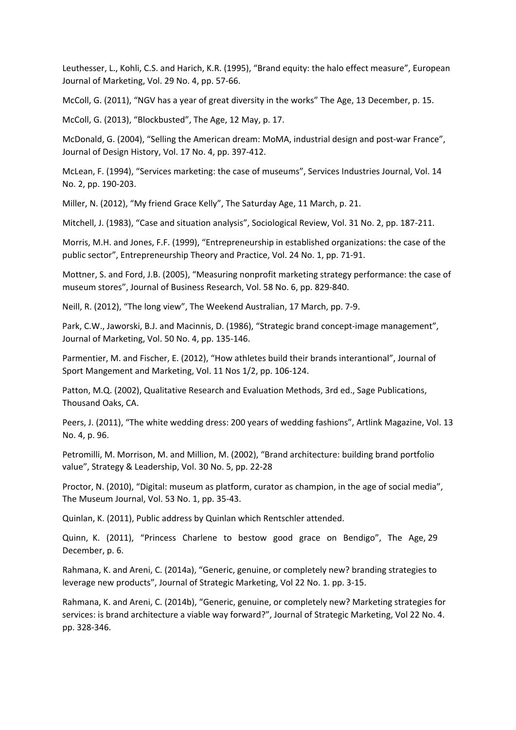Leuthesser, L., Kohli, C.S. and Harich, K.R. (1995), "Brand equity: the halo effect measure", European Journal of Marketing, Vol. 29 No. 4, pp. 57‐66.

McColl, G. (2011), "NGV has a year of great diversity in the works" The Age, 13 December, p. 15.

McColl, G. (2013), "Blockbusted", The Age, 12 May, p. 17.

McDonald, G. (2004), "Selling the American dream: MoMA, industrial design and post-war France", Journal of Design History, Vol. 17 No. 4, pp. 397‐412.

McLean, F. (1994), "Services marketing: the case of museums", Services Industries Journal, Vol. 14 No. 2, pp. 190‐203.

Miller, N. (2012), "My friend Grace Kelly", The Saturday Age, 11 March, p. 21.

Mitchell, J. (1983), "Case and situation analysis", Sociological Review, Vol. 31 No. 2, pp. 187‐211.

Morris, M.H. and Jones, F.F. (1999), "Entrepreneurship in established organizations: the case of the public sector", Entrepreneurship Theory and Practice, Vol. 24 No. 1, pp. 71‐91.

Mottner, S. and Ford, J.B. (2005), "Measuring nonprofit marketing strategy performance: the case of museum stores", Journal of Business Research, Vol. 58 No. 6, pp. 829‐840.

Neill, R. (2012), "The long view", The Weekend Australian, 17 March, pp. 7‐9.

Park, C.W., Jaworski, B.J. and Macinnis, D. (1986), "Strategic brand concept-image management", Journal of Marketing, Vol. 50 No. 4, pp. 135‐146.

Parmentier, M. and Fischer, E. (2012), "How athletes build their brands interantional", Journal of Sport Mangement and Marketing, Vol. 11 Nos 1/2, pp. 106‐124.

Patton, M.Q. (2002), Qualitative Research and Evaluation Methods, 3rd ed., Sage Publications, Thousand Oaks, CA.

Peers, J. (2011), "The white wedding dress: 200 years of wedding fashions", Artlink Magazine, Vol. 13 No. 4, p. 96.

Petromilli, M. Morrison, M. and Million, M. (2002), "Brand architecture: building brand portfolio value", Strategy & Leadership, Vol. 30 No. 5, pp. 22‐28

Proctor, N. (2010), "Digital: museum as platform, curator as champion, in the age of social media", The Museum Journal, Vol. 53 No. 1, pp. 35‐43.

Quinlan, K. (2011), Public address by Quinlan which Rentschler attended.

Quinn, K. (2011), "Princess Charlene to bestow good grace on Bendigo", The Age, 29 December, p. 6.

Rahmana, K. and Areni, C. (2014a), "Generic, genuine, or completely new? branding strategies to leverage new products", Journal of Strategic Marketing, Vol 22 No. 1. pp. 3‐15.

Rahmana, K. and Areni, C. (2014b), "Generic, genuine, or completely new? Marketing strategies for services: is brand architecture a viable way forward?", Journal of Strategic Marketing, Vol 22 No. 4. pp. 328‐346.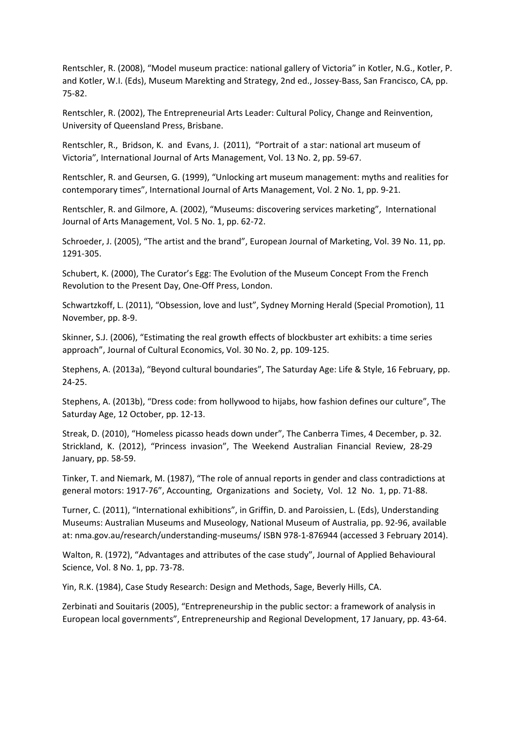Rentschler, R. (2008), "Model museum practice: national gallery of Victoria" in Kotler, N.G., Kotler, P. and Kotler, W.I. (Eds), Museum Marekting and Strategy, 2nd ed., Jossey‐Bass, San Francisco, CA, pp. 75‐82.

Rentschler, R. (2002), The Entrepreneurial Arts Leader: Cultural Policy, Change and Reinvention, University of Queensland Press, Brisbane.

Rentschler, R., Bridson, K. and Evans, J. (2011), "Portrait of a star: national art museum of Victoria", International Journal of Arts Management, Vol. 13 No. 2, pp. 59‐67.

Rentschler, R. and Geursen, G. (1999), "Unlocking art museum management: myths and realities for contemporary times", International Journal of Arts Management, Vol. 2 No. 1, pp. 9‐21.

Rentschler, R. and Gilmore, A. (2002), "Museums: discovering services marketing", International Journal of Arts Management, Vol. 5 No. 1, pp. 62‐72.

Schroeder, J. (2005), "The artist and the brand", European Journal of Marketing, Vol. 39 No. 11, pp. 1291‐305.

Schubert, K. (2000), The Curator's Egg: The Evolution of the Museum Concept From the French Revolution to the Present Day, One‐Off Press, London.

Schwartzkoff, L. (2011), "Obsession, love and lust", Sydney Morning Herald (Special Promotion), 11 November, pp. 8‐9.

Skinner, S.J. (2006), "Estimating the real growth effects of blockbuster art exhibits: a time series approach", Journal of Cultural Economics, Vol. 30 No. 2, pp. 109‐125.

Stephens, A. (2013a), "Beyond cultural boundaries", The Saturday Age: Life & Style, 16 February, pp. 24‐25.

Stephens, A. (2013b), "Dress code: from hollywood to hijabs, how fashion defines our culture", The Saturday Age, 12 October, pp. 12‐13.

Streak, D. (2010), "Homeless picasso heads down under", The Canberra Times, 4 December, p. 32. Strickland, K. (2012), "Princess invasion", The Weekend Australian Financial Review, 28‐29 January, pp. 58‐59.

Tinker, T. and Niemark, M. (1987), "The role of annual reports in gender and class contradictions at general motors: 1917‐76", Accounting, Organizations and Society, Vol. 12 No. 1, pp. 71‐88.

Turner, C. (2011), "International exhibitions", in Griffin, D. and Paroissien, L. (Eds), Understanding Museums: Australian Museums and Museology, National Museum of Australia, pp. 92‐96, available at: nma.gov.au/research/understanding‐museums/ ISBN 978‐1‐876944 (accessed 3 February 2014).

Walton, R. (1972), "Advantages and attributes of the case study", Journal of Applied Behavioural Science, Vol. 8 No. 1, pp. 73‐78.

Yin, R.K. (1984), Case Study Research: Design and Methods, Sage, Beverly Hills, CA.

Zerbinati and Souitaris (2005), "Entrepreneurship in the public sector: a framework of analysis in European local governments", Entrepreneurship and Regional Development, 17 January, pp. 43‐64.